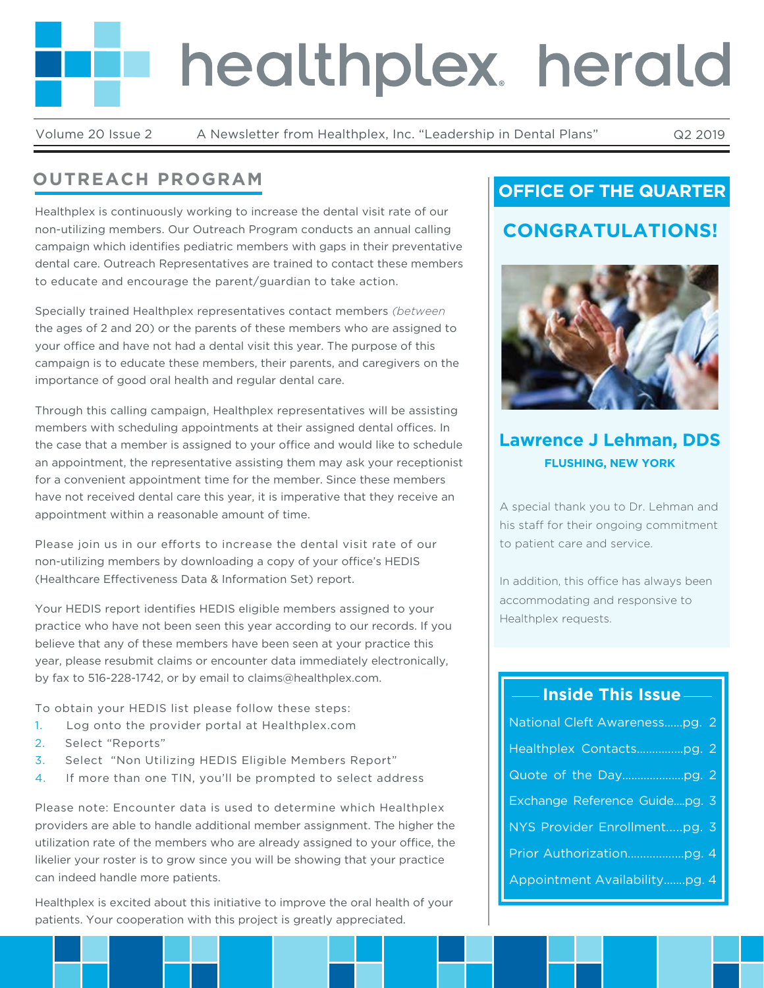# healthplex herald

Volume 20 Issue 2 A Newsletter from Healthplex, Inc. "Leadership in Dental Plans" Q2 2019

# **OUTREACH PROGRAM**

Healthplex is continuously working to increase the dental visit rate of our non-utilizing members. Our Outreach Program conducts an annual calling campaign which identifies pediatric members with gaps in their preventative dental care. Outreach Representatives are trained to contact these members to educate and encourage the parent/guardian to take action.

Specially trained Healthplex representatives contact members *(between*  the ages of 2 and 20) or the parents of these members who are assigned to your office and have not had a dental visit this year. The purpose of this campaign is to educate these members, their parents, and caregivers on the importance of good oral health and regular dental care.

Through this calling campaign, Healthplex representatives will be assisting members with scheduling appointments at their assigned dental offices. In the case that a member is assigned to your office and would like to schedule an appointment, the representative assisting them may ask your receptionist for a convenient appointment time for the member. Since these members have not received dental care this year, it is imperative that they receive an appointment within a reasonable amount of time.

Please join us in our efforts to increase the dental visit rate of our non-utilizing members by downloading a copy of your office's HEDIS (Healthcare Effectiveness Data & Information Set) report.

Your HEDIS report identifies HEDIS eligible members assigned to your practice who have not been seen this year according to our records. If you believe that any of these members have been seen at your practice this year, please resubmit claims or encounter data immediately electronically, by fax to 516-228-1742, or by email to claims@healthplex.com.

To obtain your HEDIS list please follow these steps:

- 1. Log onto the provider portal at Healthplex.com
- 2. Select "Reports"
- 3. Select "Non Utilizing HEDIS Eligible Members Report"
- 4. If more than one TIN, you'll be prompted to select address

Please note: Encounter data is used to determine which Healthplex providers are able to handle additional member assignment. The higher the utilization rate of the members who are already assigned to your office, the likelier your roster is to grow since you will be showing that your practice can indeed handle more patients.

Healthplex is excited about this initiative to improve the oral health of your patients. Your cooperation with this project is greatly appreciated.

## **OFFICE OF THE QUARTER**

## **CONGRATULATIONS!**



## **Lawrence J Lehman, DDS FLUSHING, NEW YORK**

A special thank you to Dr. Lehman and his staff for their ongoing commitment to patient care and service.

In addition, this office has always been accommodating and responsive to Healthplex requests.

## **Inside This Issue**

| National Cleft Awarenesspg. 2 |
|-------------------------------|
|                               |
|                               |
| Exchange Reference Guidepg. 3 |
| NYS Provider Enrollmentpg. 3  |
|                               |
| Appointment Availabilitypg. 4 |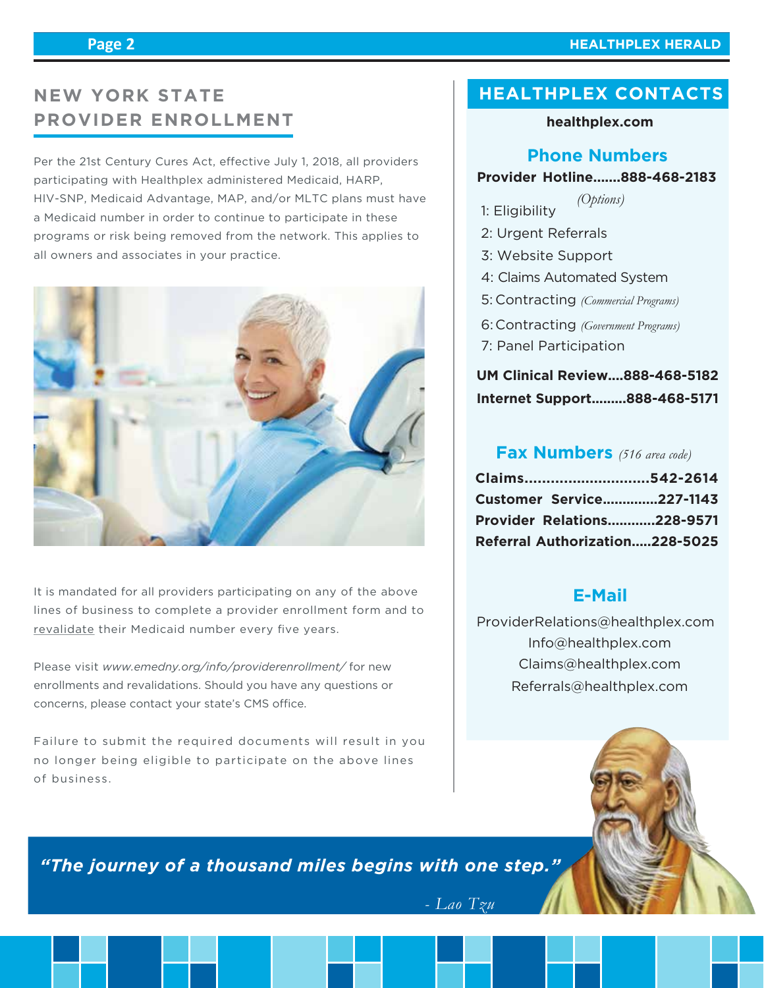#### **HEALTHPLEX HERALD**

# **NEW YORK STATE PROVIDER ENROLLMENT**

Per the 21st Century Cures Act, effective July 1, 2018, all providers participating with Healthplex administered Medicaid, HARP, HIV-SNP, Medicaid Advantage, MAP, and/or MLTC plans must have a Medicaid number in order to continue to participate in these programs or risk being removed from the network. This applies to all owners and associates in your practice.



It is mandated for all providers participating on any of the above lines of business to complete a provider enrollment form and to revalidate their Medicaid number every five years.

Please visit *www.emedny.org/info/providerenrollment/* for new enrollments and revalidations. Should you have any questions or concerns, please contact your state's CMS office.

Failure to submit the required documents will result in you no longer being eligible to participate on the above lines of business.

## **HEALTHPLEX CONTACTS**

#### **healthplex.com**

#### **Phone Numbers**

#### **Provider Hotline.......888-468-2183**

- 1: Eligibility *(Options)*
- 2: Urgent Referrals
- 3: Website Support
- 4: Claims Automated System
- Contracting *(Commercial Programs)* 5:
- Contracting *(Government Programs)* 6:
- 7: Panel Participation

## **UM Clinical Review....888-468-5182 Internet Support.........888-468-5171**

#### **Fax Numbers** *(516 area code)*

| Claims542-2614                    |  |
|-----------------------------------|--|
| <b>Customer Service227-1143</b>   |  |
| <b>Provider Relations228-9571</b> |  |
| Referral Authorization228-5025    |  |

### **E-Mail**

 Info@healthplex.com ProviderRelations@healthplex.com Claims@healthplex.com Referrals@healthplex.com



*"The journey of a thousand miles begins with one step."*

*- Lao Tzu*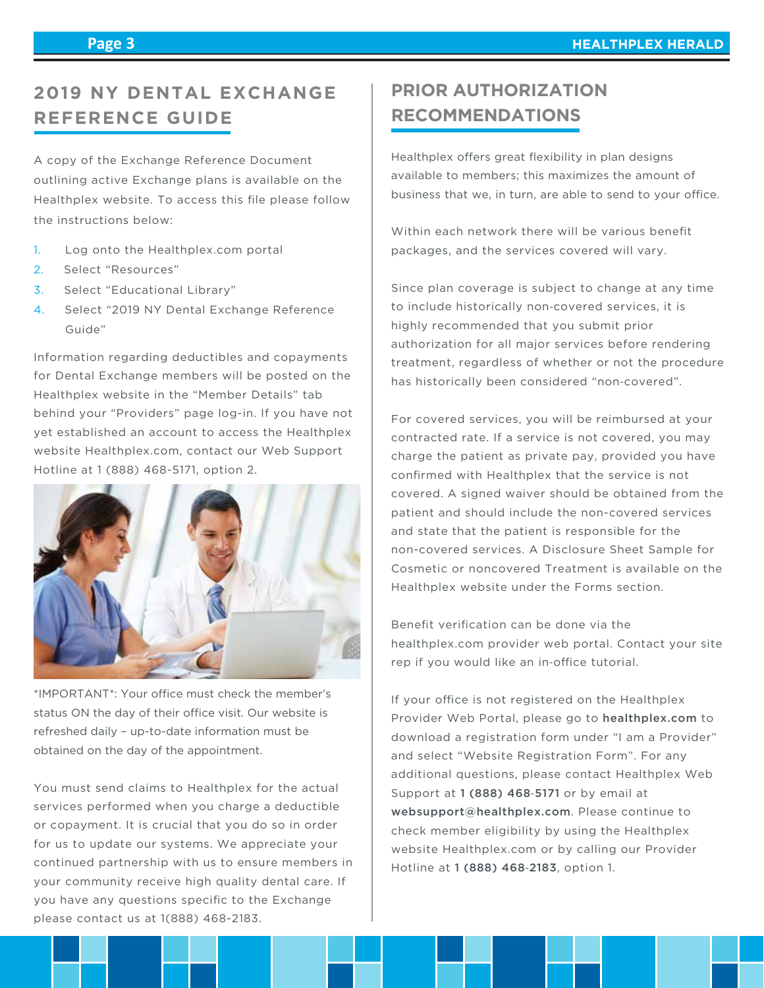# **2019 NY DENTAL EXCHANGE REFERENCE GUIDE**

A copy of the Exchange Reference Document outlining active Exchange plans is available on the Healthplex website. To access this file please follow the instructions below:

- 1. Log onto the Healthplex.com portal
- 2. Select "Resources"
- 3. Select "Educational Library"
- 4. Select "2019 NY Dental Exchange Reference Guide"

Information regarding deductibles and copayments for Dental Exchange members will be posted on the Healthplex website in the "Member Details" tab behind your "Providers" page log-in. If you have not yet established an account to access the Healthplex website Healthplex.com, contact our Web Support Hotline at 1 (888) 468-5171, option 2.



\*IMPORTANT\*: Your office must check the member's status ON the day of their office visit. Our website is refreshed daily – up-to-date information must be obtained on the day of the appointment.

You must send claims to Healthplex for the actual services performed when you charge a deductible or copayment. It is crucial that you do so in order for us to update our systems. We appreciate your continued partnership with us to ensure members in your community receive high quality dental care. If you have any questions specific to the Exchange please contact us at 1(888) 468-2183.

# **PRIOR AUTHORIZATION RECOMMENDATIONS**

Healthplex offers great flexibility in plan designs available to members; this maximizes the amount of business that we, in turn, are able to send to your office.

Within each network there will be various benefit packages, and the services covered will vary.

Since plan coverage is subject to change at any time to include historically non‐covered services, it is highly recommended that you submit prior authorization for all major services before rendering treatment, regardless of whether or not the procedure has historically been considered "non‐covered".

For covered services, you will be reimbursed at your contracted rate. If a service is not covered, you may charge the patient as private pay, provided you have confirmed with Healthplex that the service is not covered. A signed waiver should be obtained from the patient and should include the non-covered services and state that the patient is responsible for the non-covered services. A Disclosure Sheet Sample for Cosmetic or noncovered Treatment is available on the Healthplex website under the Forms section.

Benefit verification can be done via the healthplex.com provider web portal. Contact your site rep if you would like an in-office tutorial.

If your office is not registered on the Healthplex Provider Web Portal, please go to healthplex.com to download a registration form under "I am a Provider" and select "Website Registration Form". For any additional questions, please contact Healthplex Web Support at 1 (888) 468-5171 or by email at websupport@healthplex.com. Please continue to check member eligibility by using the Healthplex website Healthplex.com or by calling our Provider Hotline at 1 (888) 468‐2183, option 1.